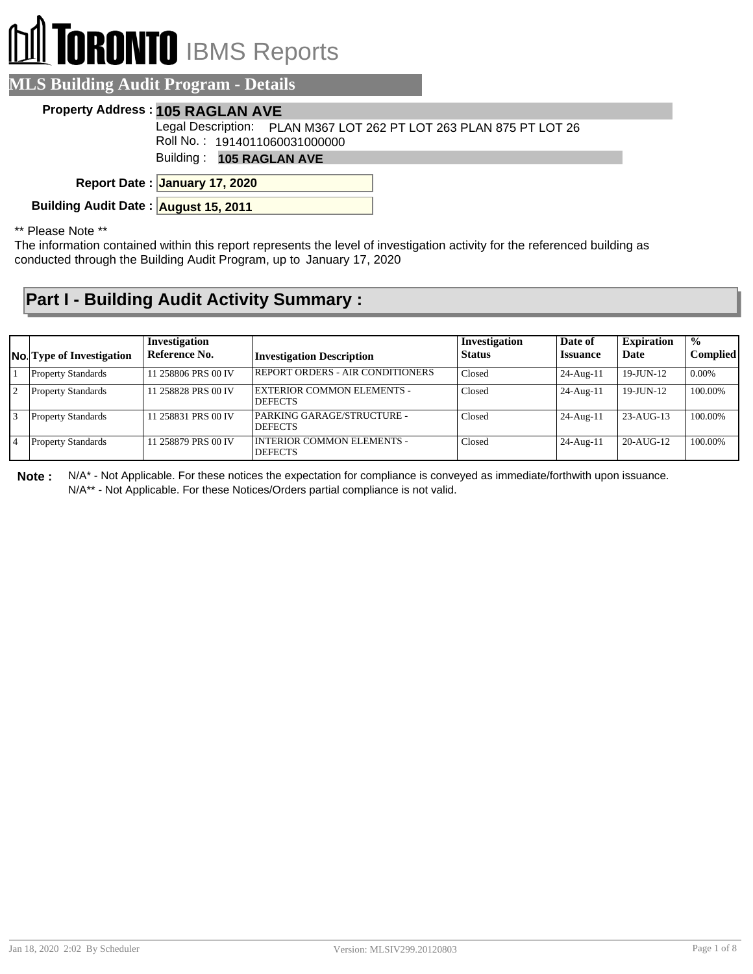# **RONTO** IBMS Reports

### **MLS Building Audit Program - Details**

#### **Property Address : 105 RAGLAN AVE**

Roll No. : 1914011060031000000 Legal Description: PLAN M367 LOT 262 PT LOT 263 PLAN 875 PT LOT 26

Building : **105 RAGLAN AVE**

**January 17, 2020 Report Date :**

**Building Audit Date : August 15, 2011**

#### \*\* Please Note \*\*

The information contained within this report represents the level of investigation activity for the referenced building as conducted through the Building Audit Program, up to January 17, 2020

## **Part I - Building Audit Activity Summary :**

|                | <b>No.</b> Type of Investigation | Investigation<br>Reference No. | <b>Investigation Description</b>                    | Investigation<br><b>Status</b> | Date of<br><b>Issuance</b> | <b>Expiration</b><br>Date | $\frac{0}{0}$<br><b>Complied</b> |
|----------------|----------------------------------|--------------------------------|-----------------------------------------------------|--------------------------------|----------------------------|---------------------------|----------------------------------|
|                | <b>Property Standards</b>        | 11 258806 PRS 00 IV            | REPORT ORDERS - AIR CONDITIONERS                    | Closed                         | $24$ -Aug-11               | 19-JUN-12                 | 0.00%                            |
| $\overline{2}$ | <b>Property Standards</b>        | 11 258828 PRS 00 IV            | <b>EXTERIOR COMMON ELEMENTS -</b><br><b>DEFECTS</b> | Closed                         | $24$ -Aug-11               | $19$ -JUN- $12$           | 100.00%                          |
| 13             | <b>Property Standards</b>        | 11 258831 PRS 00 IV            | PARKING GARAGE/STRUCTURE -<br><b>DEFECTS</b>        | Closed                         | 24-Aug-11                  | 23-AUG-13                 | 100.00%                          |
|                | <b>Property Standards</b>        | 11 258879 PRS 00 IV            | <b>INTERIOR COMMON ELEMENTS -</b><br><b>DEFECTS</b> | Closed                         | $24$ -Aug-11               | 20-AUG-12                 | 100.00%                          |

**Note :** N/A\* - Not Applicable. For these notices the expectation for compliance is conveyed as immediate/forthwith upon issuance. N/A\*\* - Not Applicable. For these Notices/Orders partial compliance is not valid.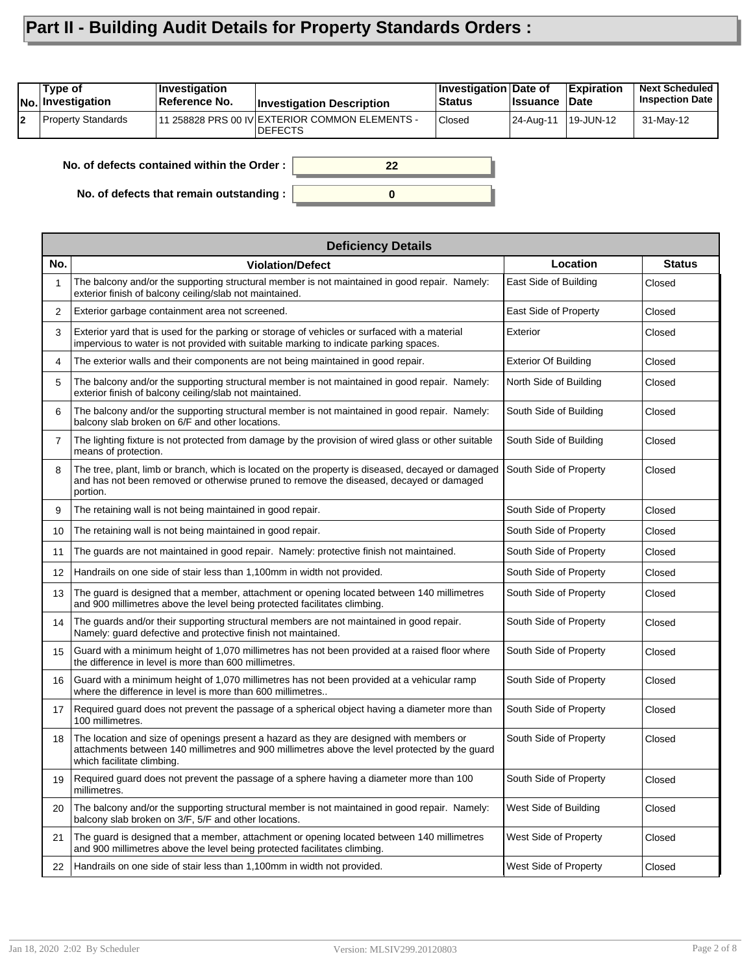# **Part II - Building Audit Details for Property Standards Orders :**

|    | Type of<br><b>No. Investigation</b> | ∣Investiqation<br>Reference No.            | <b>Investigation Description</b>                                  | <b>Investigation Date of</b><br><b>Status</b> | <b>∣Issuance</b> | <b>Expiration</b><br><b>Date</b> | <b>Next Scheduled</b><br><b>Inspection Date</b> |
|----|-------------------------------------|--------------------------------------------|-------------------------------------------------------------------|-----------------------------------------------|------------------|----------------------------------|-------------------------------------------------|
| l2 | Property Standards                  |                                            | 11 258828 PRS 00 IV EXTERIOR COMMON ELEMENTS -<br><b>IDEFECTS</b> | Closed                                        | 24-Aug-11        | 19-JUN-12                        | 31-May-12                                       |
|    |                                     | No. of defects contained within the Order: | 22                                                                |                                               |                  |                                  |                                                 |

**0**

**No. of defects that remain outstanding :**

|                | <b>Deficiency Details</b>                                                                                                                                                                                               |                             |               |
|----------------|-------------------------------------------------------------------------------------------------------------------------------------------------------------------------------------------------------------------------|-----------------------------|---------------|
| No.            | <b>Violation/Defect</b>                                                                                                                                                                                                 | Location                    | <b>Status</b> |
| 1              | The balcony and/or the supporting structural member is not maintained in good repair. Namely:<br>exterior finish of balcony ceiling/slab not maintained.                                                                | East Side of Building       | Closed        |
| 2              | Exterior garbage containment area not screened.                                                                                                                                                                         | East Side of Property       | Closed        |
| 3              | Exterior yard that is used for the parking or storage of vehicles or surfaced with a material<br>impervious to water is not provided with suitable marking to indicate parking spaces.                                  | Exterior                    | Closed        |
| 4              | The exterior walls and their components are not being maintained in good repair.                                                                                                                                        | <b>Exterior Of Building</b> | Closed        |
| 5              | The balcony and/or the supporting structural member is not maintained in good repair. Namely:<br>exterior finish of balcony ceiling/slab not maintained.                                                                | North Side of Building      | Closed        |
| 6              | The balcony and/or the supporting structural member is not maintained in good repair. Namely:<br>balcony slab broken on 6/F and other locations.                                                                        | South Side of Building      | Closed        |
| $\overline{7}$ | The lighting fixture is not protected from damage by the provision of wired glass or other suitable<br>means of protection.                                                                                             | South Side of Building      | Closed        |
| 8              | The tree, plant, limb or branch, which is located on the property is diseased, decayed or damaged<br>and has not been removed or otherwise pruned to remove the diseased, decayed or damaged<br>portion.                | South Side of Property      | Closed        |
| 9              | The retaining wall is not being maintained in good repair.                                                                                                                                                              | South Side of Property      | Closed        |
| 10             | The retaining wall is not being maintained in good repair.                                                                                                                                                              | South Side of Property      | Closed        |
| 11             | The guards are not maintained in good repair. Namely: protective finish not maintained.                                                                                                                                 | South Side of Property      | Closed        |
| 12             | Handrails on one side of stair less than 1,100mm in width not provided.                                                                                                                                                 | South Side of Property      | Closed        |
| 13             | The guard is designed that a member, attachment or opening located between 140 millimetres<br>and 900 millimetres above the level being protected facilitates climbing.                                                 | South Side of Property      | Closed        |
| 14             | The guards and/or their supporting structural members are not maintained in good repair.<br>Namely: guard defective and protective finish not maintained.                                                               | South Side of Property      | Closed        |
| 15             | Guard with a minimum height of 1,070 millimetres has not been provided at a raised floor where<br>the difference in level is more than 600 millimetres.                                                                 | South Side of Property      | Closed        |
| 16             | Guard with a minimum height of 1,070 millimetres has not been provided at a vehicular ramp<br>where the difference in level is more than 600 millimetres                                                                | South Side of Property      | Closed        |
| 17             | Required guard does not prevent the passage of a spherical object having a diameter more than<br>100 millimetres.                                                                                                       | South Side of Property      | Closed        |
| 18             | The location and size of openings present a hazard as they are designed with members or<br>attachments between 140 millimetres and 900 millimetres above the level protected by the guard<br>which facilitate climbing. | South Side of Property      | Closed        |
| 19             | Required guard does not prevent the passage of a sphere having a diameter more than 100<br>millimetres.                                                                                                                 | South Side of Property      | Closed        |
| 20             | The balcony and/or the supporting structural member is not maintained in good repair. Namely:<br>balcony slab broken on 3/F, 5/F and other locations.                                                                   | West Side of Building       | Closed        |
| 21             | The quard is designed that a member, attachment or opening located between 140 millimetres<br>and 900 millimetres above the level being protected facilitates climbing.                                                 | West Side of Property       | Closed        |
| 22             | Handrails on one side of stair less than 1,100mm in width not provided.                                                                                                                                                 | West Side of Property       | Closed        |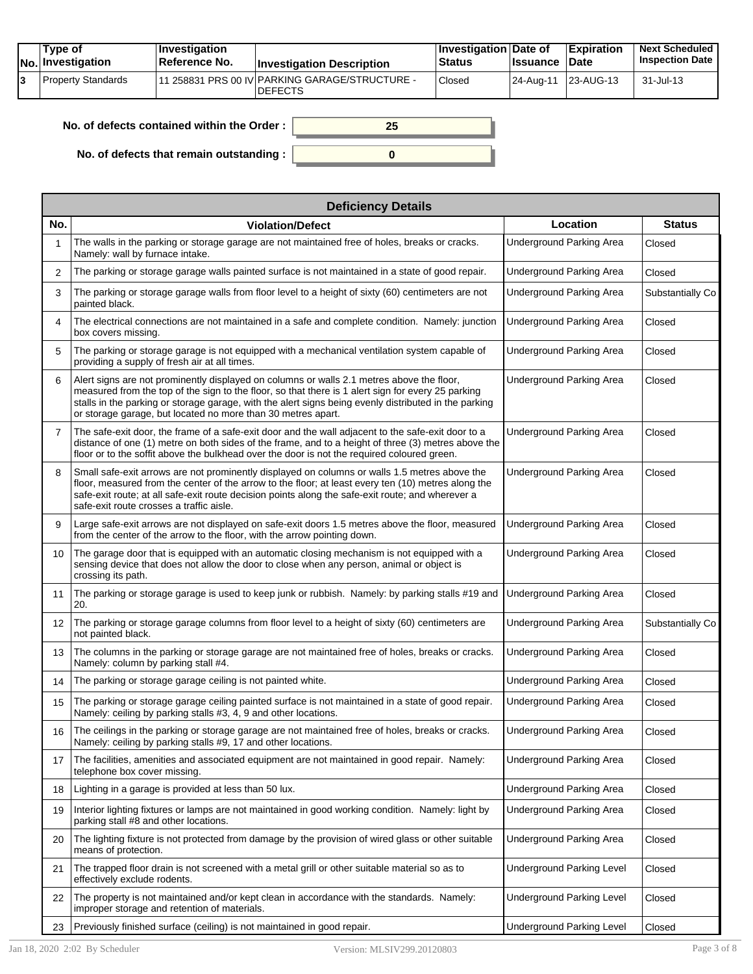|  | Tvpe of<br><b>No.</b> Investigation | <b>Investigation</b><br><b>∣Reference No.</b> | <b>Investigation Description</b>                                  | <b>Investigation Date of</b><br><b>Status</b> | <b>Issuance Date</b> | <b>Expiration</b> | <b>Next Scheduled</b><br><b>Inspection Date</b> |
|--|-------------------------------------|-----------------------------------------------|-------------------------------------------------------------------|-----------------------------------------------|----------------------|-------------------|-------------------------------------------------|
|  | Property Standards                  |                                               | 111 258831 PRS 00 IV PARKING GARAGE/STRUCTURE -<br><b>DEFECTS</b> | Closed                                        | 24-Aug-11            | 23-AUG-13         | 31-Jul-13                                       |

| No. of defects contained within the Order: | 25 |
|--------------------------------------------|----|
| No. of defects that remain outstanding :   |    |

|                | <b>Deficiency Details</b>                                                                                                                                                                                                                                                                                                                                                |                                  |                  |  |  |  |  |
|----------------|--------------------------------------------------------------------------------------------------------------------------------------------------------------------------------------------------------------------------------------------------------------------------------------------------------------------------------------------------------------------------|----------------------------------|------------------|--|--|--|--|
| No.            | <b>Violation/Defect</b>                                                                                                                                                                                                                                                                                                                                                  | Location                         | <b>Status</b>    |  |  |  |  |
| -1             | The walls in the parking or storage garage are not maintained free of holes, breaks or cracks.<br>Namely: wall by furnace intake.                                                                                                                                                                                                                                        | <b>Underground Parking Area</b>  | Closed           |  |  |  |  |
| 2              | The parking or storage garage walls painted surface is not maintained in a state of good repair.                                                                                                                                                                                                                                                                         | Underground Parking Area         | Closed           |  |  |  |  |
| 3              | The parking or storage garage walls from floor level to a height of sixty (60) centimeters are not<br>painted black.                                                                                                                                                                                                                                                     | <b>Underground Parking Area</b>  | Substantially Co |  |  |  |  |
| 4              | The electrical connections are not maintained in a safe and complete condition. Namely: junction<br>box covers missing.                                                                                                                                                                                                                                                  | <b>Underground Parking Area</b>  | Closed           |  |  |  |  |
| 5              | The parking or storage garage is not equipped with a mechanical ventilation system capable of<br>providing a supply of fresh air at all times.                                                                                                                                                                                                                           | <b>Underground Parking Area</b>  | Closed           |  |  |  |  |
| 6              | Alert signs are not prominently displayed on columns or walls 2.1 metres above the floor,<br>measured from the top of the sign to the floor, so that there is 1 alert sign for every 25 parking<br>stalls in the parking or storage garage, with the alert signs being evenly distributed in the parking<br>or storage garage, but located no more than 30 metres apart. | <b>Underground Parking Area</b>  | Closed           |  |  |  |  |
| $\overline{7}$ | The safe-exit door, the frame of a safe-exit door and the wall adjacent to the safe-exit door to a<br>distance of one (1) metre on both sides of the frame, and to a height of three (3) metres above the<br>floor or to the soffit above the bulkhead over the door is not the required coloured green.                                                                 | <b>Underground Parking Area</b>  | Closed           |  |  |  |  |
| 8              | Small safe-exit arrows are not prominently displayed on columns or walls 1.5 metres above the<br>floor, measured from the center of the arrow to the floor; at least every ten (10) metres along the<br>safe-exit route; at all safe-exit route decision points along the safe-exit route; and wherever a<br>safe-exit route crosses a traffic aisle.                    | Underground Parking Area         | Closed           |  |  |  |  |
| 9              | Large safe-exit arrows are not displayed on safe-exit doors 1.5 metres above the floor, measured<br>from the center of the arrow to the floor, with the arrow pointing down.                                                                                                                                                                                             | <b>Underground Parking Area</b>  | Closed           |  |  |  |  |
| 10             | The garage door that is equipped with an automatic closing mechanism is not equipped with a<br>sensing device that does not allow the door to close when any person, animal or object is<br>crossing its path.                                                                                                                                                           | <b>Underground Parking Area</b>  | Closed           |  |  |  |  |
| 11             | The parking or storage garage is used to keep junk or rubbish. Namely: by parking stalls #19 and<br>20.                                                                                                                                                                                                                                                                  | <b>Underground Parking Area</b>  | Closed           |  |  |  |  |
| 12             | The parking or storage garage columns from floor level to a height of sixty (60) centimeters are<br>not painted black.                                                                                                                                                                                                                                                   | <b>Underground Parking Area</b>  | Substantially Co |  |  |  |  |
| 13             | The columns in the parking or storage garage are not maintained free of holes, breaks or cracks.<br>Namely: column by parking stall #4.                                                                                                                                                                                                                                  | Underground Parking Area         | Closed           |  |  |  |  |
| 14             | The parking or storage garage ceiling is not painted white.                                                                                                                                                                                                                                                                                                              | <b>Underground Parking Area</b>  | Closed           |  |  |  |  |
| 15             | The parking or storage garage ceiling painted surface is not maintained in a state of good repair.<br>Namely: ceiling by parking stalls #3, 4, 9 and other locations.                                                                                                                                                                                                    | <b>Underground Parking Area</b>  | Closed           |  |  |  |  |
| 16             | The ceilings in the parking or storage garage are not maintained free of holes, breaks or cracks.<br>Namely: ceiling by parking stalls #9, 17 and other locations.                                                                                                                                                                                                       | <b>Underground Parking Area</b>  | Closed           |  |  |  |  |
| 17             | The facilities, amenities and associated equipment are not maintained in good repair. Namely:<br>telephone box cover missing.                                                                                                                                                                                                                                            | <b>Underground Parking Area</b>  | Closed           |  |  |  |  |
| 18             | Lighting in a garage is provided at less than 50 lux.                                                                                                                                                                                                                                                                                                                    | Underground Parking Area         | Closed           |  |  |  |  |
| 19             | Interior lighting fixtures or lamps are not maintained in good working condition. Namely: light by<br>parking stall #8 and other locations.                                                                                                                                                                                                                              | <b>Underground Parking Area</b>  | Closed           |  |  |  |  |
| 20             | The lighting fixture is not protected from damage by the provision of wired glass or other suitable<br>means of protection.                                                                                                                                                                                                                                              | Underground Parking Area         | Closed           |  |  |  |  |
| 21             | The trapped floor drain is not screened with a metal grill or other suitable material so as to<br>effectively exclude rodents.                                                                                                                                                                                                                                           | <b>Underground Parking Level</b> | Closed           |  |  |  |  |
| 22             | The property is not maintained and/or kept clean in accordance with the standards. Namely:<br>improper storage and retention of materials.                                                                                                                                                                                                                               | <b>Underground Parking Level</b> | Closed           |  |  |  |  |
| 23             | Previously finished surface (ceiling) is not maintained in good repair.                                                                                                                                                                                                                                                                                                  | <b>Underground Parking Level</b> | Closed           |  |  |  |  |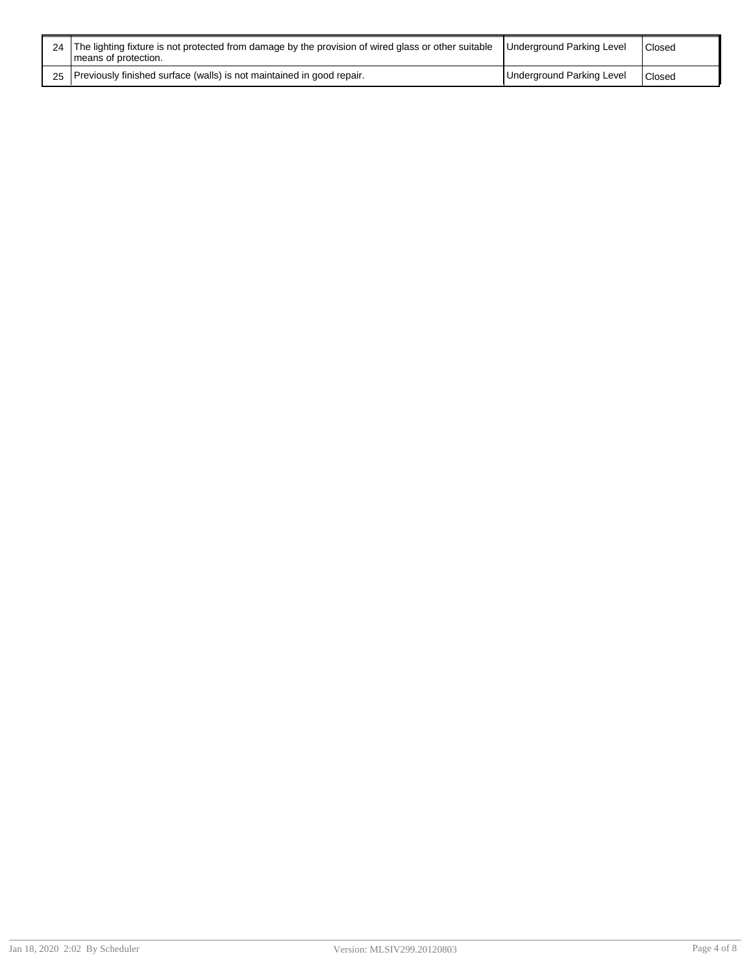| 24 The lighting fixture is not protected from damage by the provision of wired glass or other suitable<br>I means of protection. | Underground Parking Level | Closed        |
|----------------------------------------------------------------------------------------------------------------------------------|---------------------------|---------------|
| 25 Previously finished surface (walls) is not maintained in good repair.                                                         | Underground Parking Level | <b>Closed</b> |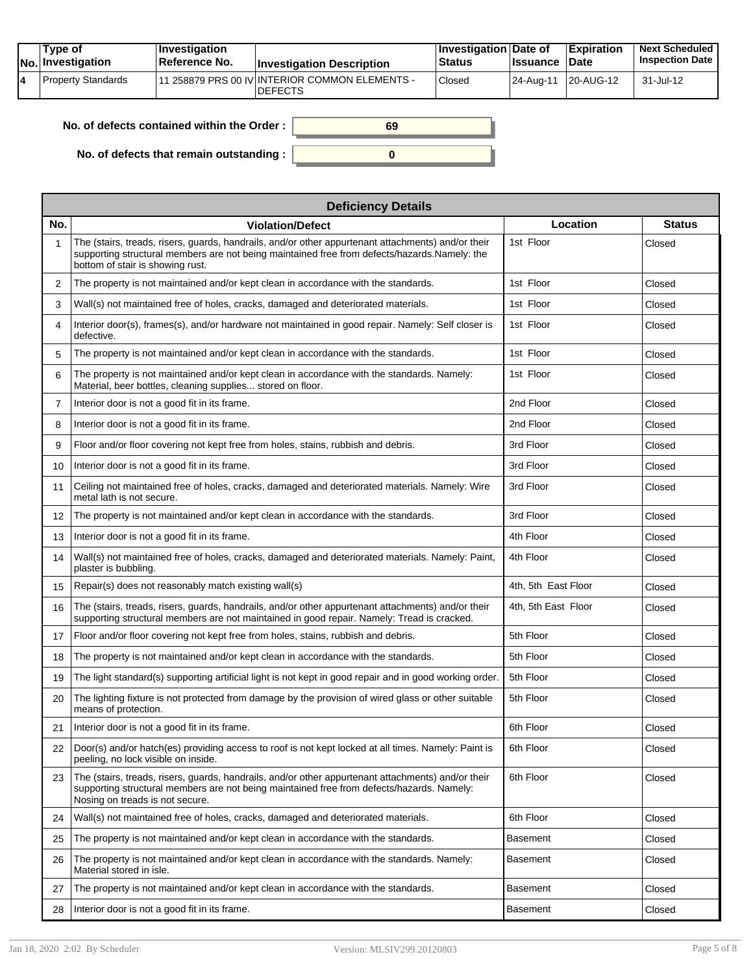| Type of<br>No. Investigation | <b>Investigation</b><br>⊺Reference No. | <b>Investigation Description</b>                                | ∣Investigation Date of<br><b>Status</b> | <b>Issuance</b> | <b>Expiration</b><br><b>Date</b> | <b>Next Scheduled</b><br><b>Inspection Date</b> |
|------------------------------|----------------------------------------|-----------------------------------------------------------------|-----------------------------------------|-----------------|----------------------------------|-------------------------------------------------|
| Property Standards           |                                        | 1 258879 PRS 00 IV INTERIOR COMMON ELEMENTS -<br><b>DEFECTS</b> | <sup>'</sup> Closed                     |                 | 24-Aug-11 20-AUG-12              | 31-Jul-12                                       |

| No. of defects contained within the Order: | 69 |
|--------------------------------------------|----|
| No. of defects that remain outstanding:    |    |

|                | <b>Deficiency Details</b>                                                                                                                                                                                                              |                     |               |  |  |  |  |
|----------------|----------------------------------------------------------------------------------------------------------------------------------------------------------------------------------------------------------------------------------------|---------------------|---------------|--|--|--|--|
| No.            | <b>Violation/Defect</b>                                                                                                                                                                                                                | Location            | <b>Status</b> |  |  |  |  |
| 1              | The (stairs, treads, risers, guards, handrails, and/or other appurtenant attachments) and/or their<br>supporting structural members are not being maintained free from defects/hazards.Namely: the<br>bottom of stair is showing rust. | 1st Floor           | Closed        |  |  |  |  |
| 2              | The property is not maintained and/or kept clean in accordance with the standards.                                                                                                                                                     | 1st Floor           | Closed        |  |  |  |  |
| 3              | Wall(s) not maintained free of holes, cracks, damaged and deteriorated materials.                                                                                                                                                      | 1st Floor           | Closed        |  |  |  |  |
| 4              | Interior door(s), frames(s), and/or hardware not maintained in good repair. Namely: Self closer is<br>defective.                                                                                                                       | 1st Floor           | Closed        |  |  |  |  |
| 5              | The property is not maintained and/or kept clean in accordance with the standards.                                                                                                                                                     | 1st Floor           | Closed        |  |  |  |  |
| 6              | The property is not maintained and/or kept clean in accordance with the standards. Namely:<br>Material, beer bottles, cleaning supplies stored on floor.                                                                               | 1st Floor           | Closed        |  |  |  |  |
| $\overline{7}$ | Interior door is not a good fit in its frame.                                                                                                                                                                                          | 2nd Floor           | Closed        |  |  |  |  |
| 8              | Interior door is not a good fit in its frame.                                                                                                                                                                                          | 2nd Floor           | Closed        |  |  |  |  |
| 9              | Floor and/or floor covering not kept free from holes, stains, rubbish and debris.                                                                                                                                                      | 3rd Floor           | Closed        |  |  |  |  |
| 10             | Interior door is not a good fit in its frame.                                                                                                                                                                                          | 3rd Floor           | Closed        |  |  |  |  |
| 11             | Ceiling not maintained free of holes, cracks, damaged and deteriorated materials. Namely: Wire<br>metal lath is not secure.                                                                                                            | 3rd Floor           | Closed        |  |  |  |  |
| 12             | The property is not maintained and/or kept clean in accordance with the standards.                                                                                                                                                     | 3rd Floor           | Closed        |  |  |  |  |
| 13             | Interior door is not a good fit in its frame.                                                                                                                                                                                          | 4th Floor           | Closed        |  |  |  |  |
| 14             | Wall(s) not maintained free of holes, cracks, damaged and deteriorated materials. Namely: Paint,<br>plaster is bubbling.                                                                                                               | 4th Floor           | Closed        |  |  |  |  |
| 15             | Repair(s) does not reasonably match existing wall(s)                                                                                                                                                                                   | 4th, 5th East Floor | Closed        |  |  |  |  |
| 16             | The (stairs, treads, risers, guards, handrails, and/or other appurtenant attachments) and/or their<br>supporting structural members are not maintained in good repair. Namely: Tread is cracked.                                       | 4th, 5th East Floor | Closed        |  |  |  |  |
| 17             | Floor and/or floor covering not kept free from holes, stains, rubbish and debris.                                                                                                                                                      | 5th Floor           | Closed        |  |  |  |  |
| 18             | The property is not maintained and/or kept clean in accordance with the standards.                                                                                                                                                     | 5th Floor           | Closed        |  |  |  |  |
| 19             | The light standard(s) supporting artificial light is not kept in good repair and in good working order.                                                                                                                                | 5th Floor           | Closed        |  |  |  |  |
| 20             | The lighting fixture is not protected from damage by the provision of wired glass or other suitable<br>means of protection.                                                                                                            | 5th Floor           | Closed        |  |  |  |  |
| 21             | Interior door is not a good fit in its frame.                                                                                                                                                                                          | 6th Floor           | Closed        |  |  |  |  |
| 22             | Door(s) and/or hatch(es) providing access to roof is not kept locked at all times. Namely: Paint is<br>peeling, no lock visible on inside.                                                                                             | 6th Floor           | Closed        |  |  |  |  |
| 23             | The (stairs, treads, risers, guards, handrails, and/or other appurtenant attachments) and/or their<br>supporting structural members are not being maintained free from defects/hazards. Namely:<br>Nosing on treads is not secure.     | 6th Floor           | Closed        |  |  |  |  |
| 24             | Wall(s) not maintained free of holes, cracks, damaged and deteriorated materials.                                                                                                                                                      | 6th Floor           | Closed        |  |  |  |  |
| 25             | The property is not maintained and/or kept clean in accordance with the standards.                                                                                                                                                     | Basement            | Closed        |  |  |  |  |
| 26             | The property is not maintained and/or kept clean in accordance with the standards. Namely:<br>Material stored in isle.                                                                                                                 | Basement            | Closed        |  |  |  |  |
| 27             | The property is not maintained and/or kept clean in accordance with the standards.                                                                                                                                                     | Basement            | Closed        |  |  |  |  |
| 28             | Interior door is not a good fit in its frame.                                                                                                                                                                                          | Basement            | Closed        |  |  |  |  |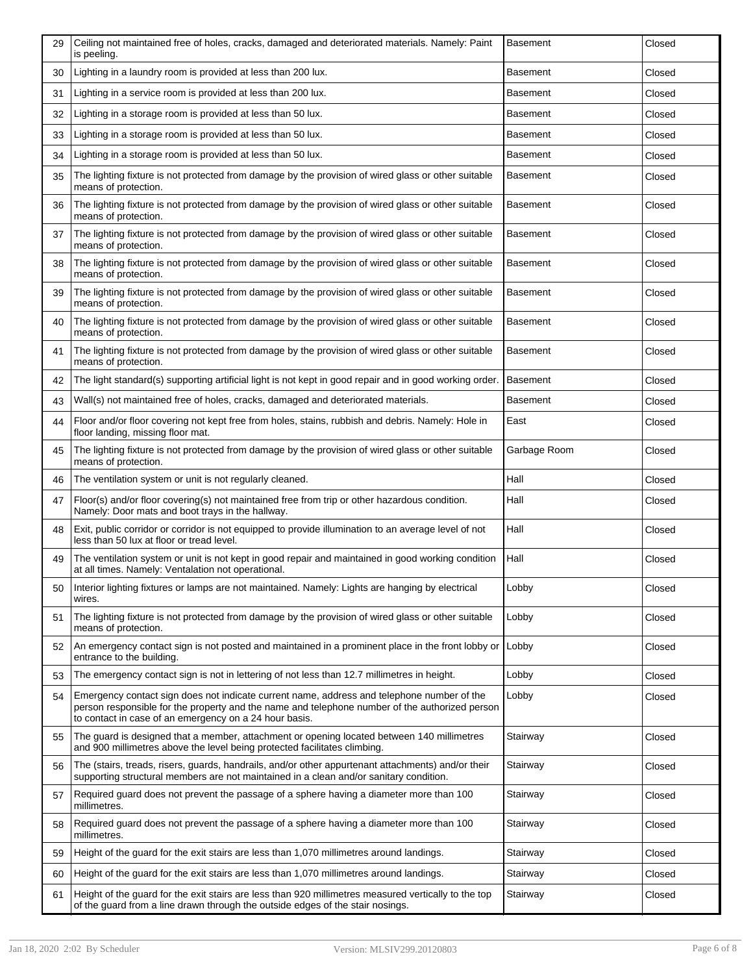| 29 | Ceiling not maintained free of holes, cracks, damaged and deteriorated materials. Namely: Paint<br>is peeling.                                                                                                                                         | <b>Basement</b> | Closed |
|----|--------------------------------------------------------------------------------------------------------------------------------------------------------------------------------------------------------------------------------------------------------|-----------------|--------|
| 30 | Lighting in a laundry room is provided at less than 200 lux.                                                                                                                                                                                           | <b>Basement</b> | Closed |
| 31 | Lighting in a service room is provided at less than 200 lux.                                                                                                                                                                                           | Basement        | Closed |
| 32 | Lighting in a storage room is provided at less than 50 lux.                                                                                                                                                                                            | <b>Basement</b> | Closed |
| 33 | Lighting in a storage room is provided at less than 50 lux.                                                                                                                                                                                            | Basement        | Closed |
| 34 | Lighting in a storage room is provided at less than 50 lux.                                                                                                                                                                                            | <b>Basement</b> | Closed |
| 35 | The lighting fixture is not protected from damage by the provision of wired glass or other suitable<br>means of protection.                                                                                                                            | <b>Basement</b> | Closed |
| 36 | The lighting fixture is not protected from damage by the provision of wired glass or other suitable<br>means of protection.                                                                                                                            | <b>Basement</b> | Closed |
| 37 | The lighting fixture is not protected from damage by the provision of wired glass or other suitable<br>means of protection.                                                                                                                            | <b>Basement</b> | Closed |
| 38 | The lighting fixture is not protected from damage by the provision of wired glass or other suitable<br>means of protection.                                                                                                                            | <b>Basement</b> | Closed |
| 39 | The lighting fixture is not protected from damage by the provision of wired glass or other suitable<br>means of protection.                                                                                                                            | <b>Basement</b> | Closed |
| 40 | The lighting fixture is not protected from damage by the provision of wired glass or other suitable<br>means of protection.                                                                                                                            | <b>Basement</b> | Closed |
| 41 | The lighting fixture is not protected from damage by the provision of wired glass or other suitable<br>means of protection.                                                                                                                            | <b>Basement</b> | Closed |
| 42 | The light standard(s) supporting artificial light is not kept in good repair and in good working order.                                                                                                                                                | <b>Basement</b> | Closed |
| 43 | Wall(s) not maintained free of holes, cracks, damaged and deteriorated materials.                                                                                                                                                                      | <b>Basement</b> | Closed |
| 44 | Floor and/or floor covering not kept free from holes, stains, rubbish and debris. Namely: Hole in<br>floor landing, missing floor mat.                                                                                                                 | East            | Closed |
| 45 | The lighting fixture is not protected from damage by the provision of wired glass or other suitable<br>means of protection.                                                                                                                            | Garbage Room    | Closed |
|    |                                                                                                                                                                                                                                                        |                 |        |
| 46 | The ventilation system or unit is not regularly cleaned.                                                                                                                                                                                               | Hall            | Closed |
| 47 | Floor(s) and/or floor covering(s) not maintained free from trip or other hazardous condition.<br>Namely: Door mats and boot trays in the hallway.                                                                                                      | Hall            | Closed |
| 48 | Exit, public corridor or corridor is not equipped to provide illumination to an average level of not<br>less than 50 lux at floor or tread level.                                                                                                      | Hall            | Closed |
| 49 | The ventilation system or unit is not kept in good repair and maintained in good working condition<br>at all times. Namely: Ventalation not operational.                                                                                               | Hall            | Closed |
| 50 | Interior lighting fixtures or lamps are not maintained. Namely: Lights are hanging by electrical<br>wires.                                                                                                                                             | Lobby           | Closed |
| 51 | The lighting fixture is not protected from damage by the provision of wired glass or other suitable<br>means of protection.                                                                                                                            | Lobby           | Closed |
| 52 | An emergency contact sign is not posted and maintained in a prominent place in the front lobby or<br>entrance to the building.                                                                                                                         | Lobby           | Closed |
| 53 | The emergency contact sign is not in lettering of not less than 12.7 millimetres in height.                                                                                                                                                            | Lobby           | Closed |
| 54 | Emergency contact sign does not indicate current name, address and telephone number of the<br>person responsible for the property and the name and telephone number of the authorized person<br>to contact in case of an emergency on a 24 hour basis. | Lobby           | Closed |
| 55 | The guard is designed that a member, attachment or opening located between 140 millimetres<br>and 900 millimetres above the level being protected facilitates climbing.                                                                                | Stairway        | Closed |
| 56 | The (stairs, treads, risers, guards, handrails, and/or other appurtenant attachments) and/or their<br>supporting structural members are not maintained in a clean and/or sanitary condition.                                                           | Stairway        | Closed |
| 57 | Required guard does not prevent the passage of a sphere having a diameter more than 100<br>millimetres.                                                                                                                                                | Stairway        | Closed |
| 58 | Required guard does not prevent the passage of a sphere having a diameter more than 100<br>millimetres.                                                                                                                                                | Stairway        | Closed |
| 59 | Height of the guard for the exit stairs are less than 1,070 millimetres around landings.                                                                                                                                                               | Stairway        | Closed |
| 60 | Height of the guard for the exit stairs are less than 1,070 millimetres around landings.                                                                                                                                                               | Stairway        | Closed |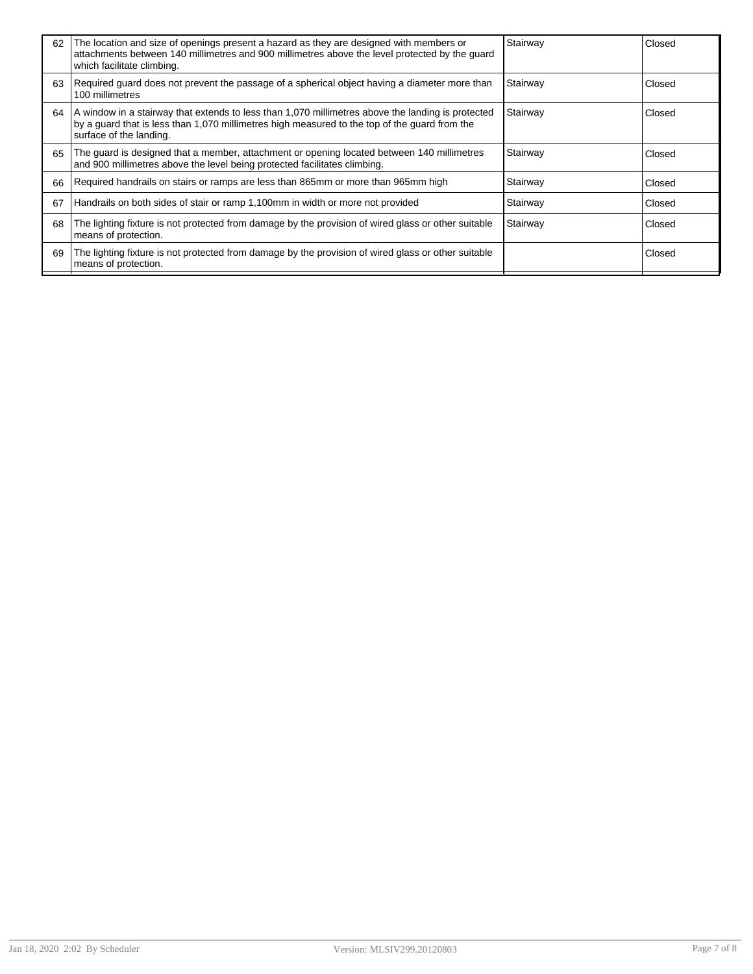| 62 | The location and size of openings present a hazard as they are designed with members or<br>attachments between 140 millimetres and 900 millimetres above the level protected by the guard<br>which facilitate climbing.       | Stairway | Closed |
|----|-------------------------------------------------------------------------------------------------------------------------------------------------------------------------------------------------------------------------------|----------|--------|
| 63 | Required guard does not prevent the passage of a spherical object having a diameter more than<br>100 millimetres                                                                                                              | Stairway | Closed |
| 64 | A window in a stairway that extends to less than 1,070 millimetres above the landing is protected<br>by a guard that is less than 1,070 millimetres high measured to the top of the guard from the<br>surface of the landing. | Stairway | Closed |
| 65 | The guard is designed that a member, attachment or opening located between 140 millimetres<br>and 900 millimetres above the level being protected facilitates climbing.                                                       | Stairway | Closed |
| 66 | Required handrails on stairs or ramps are less than 865mm or more than 965mm high                                                                                                                                             | Stairway | Closed |
| 67 | Handrails on both sides of stair or ramp 1,100mm in width or more not provided                                                                                                                                                | Stairway | Closed |
| 68 | The lighting fixture is not protected from damage by the provision of wired glass or other suitable<br>means of protection.                                                                                                   | Stairway | Closed |
| 69 | The lighting fixture is not protected from damage by the provision of wired glass or other suitable<br>means of protection.                                                                                                   |          | Closed |